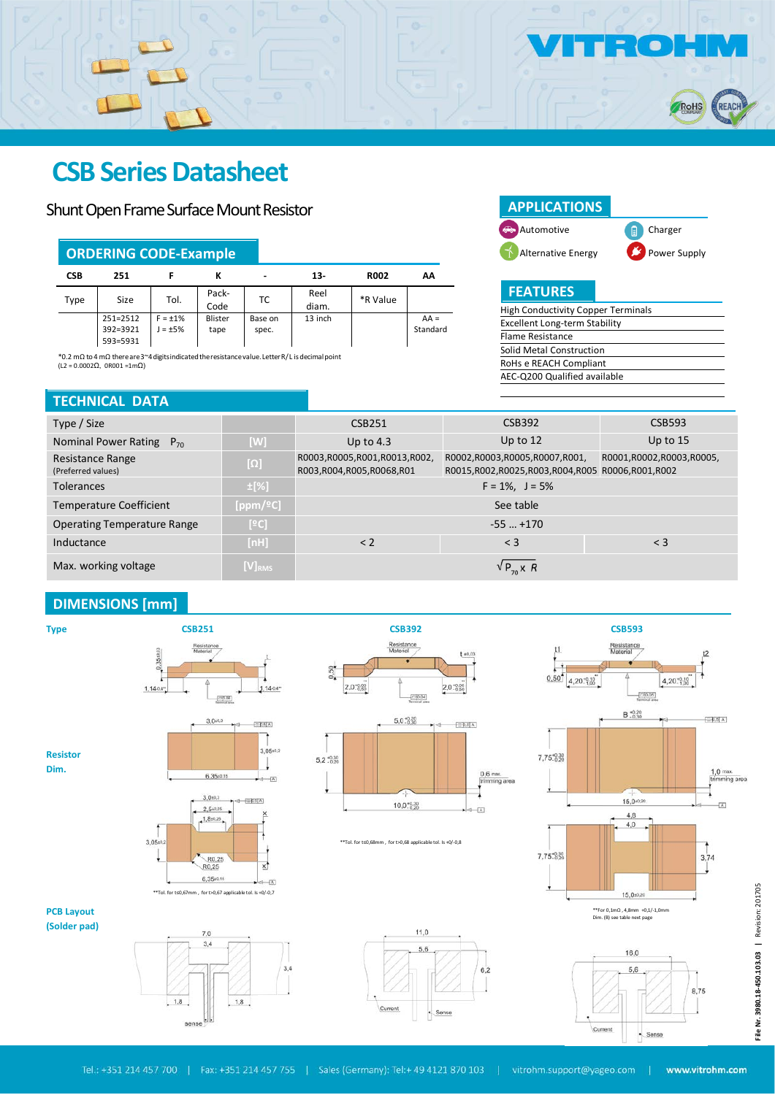

## **CSB Series Datasheet**

### Shunt Open Frame Surface Mount Resistor

|              | <b>ORDERING CODE-Example</b>                                    |      |                 |                          |               |             |                    |  |  |  |  |
|--------------|-----------------------------------------------------------------|------|-----------------|--------------------------|---------------|-------------|--------------------|--|--|--|--|
| <b>CSB</b>   | 251                                                             |      |                 | $\overline{\phantom{0}}$ | $13-$         | <b>R002</b> | АΑ                 |  |  |  |  |
| Size<br>Type |                                                                 | Tol. | Pack-<br>Code   | ТC                       | Reel<br>diam. | *R Value    |                    |  |  |  |  |
|              | 251=2512<br>$F = \pm 1\%$<br>392=3921<br>$J = +5\%$<br>593=5931 |      | Blister<br>tape | Base on<br>spec.         | 13 inch       |             | $AA =$<br>Standard |  |  |  |  |

\*0.2 mΩ to4 mΩ thereare3~4digitsindicatedtheresistancevalue.LetterR/L isdecimalpoint (L2 = 0.0002Ω, 0R001 =1mΩ)

#### **TECHNICAL DATA**

| <b>APPLICATIONS</b> |                  |
|---------------------|------------------|
| Automotive          | <b>E</b> Charger |
| Alternative Energy  | Power Supply     |

**FEATURES**

| <b>High Conductivity Copper Terminals</b> |  |  |  |  |  |  |  |
|-------------------------------------------|--|--|--|--|--|--|--|
| Excellent Long-term Stability             |  |  |  |  |  |  |  |
| Flame Resistance                          |  |  |  |  |  |  |  |
| Solid Metal Construction                  |  |  |  |  |  |  |  |
| RoHs e REACH Compliant                    |  |  |  |  |  |  |  |
| AEC-Q200 Qualified available              |  |  |  |  |  |  |  |
|                                           |  |  |  |  |  |  |  |

| Type / Size                            |              | <b>CSB251</b>                                            | <b>CSB392</b>                                                               | <b>CSB593</b> |  |  |  |
|----------------------------------------|--------------|----------------------------------------------------------|-----------------------------------------------------------------------------|---------------|--|--|--|
| Nominal Power Rating<br>$P_{70}$       | [W]          | Up to $4.3$                                              | Up to $12$                                                                  | Up to $15$    |  |  |  |
| Resistance Range<br>(Preferred values) | $[\Omega]$   | R0003,R0005,R001,R0013,R002,<br>R003,R004,R005,R0068,R01 | R0001,R0002,R0003,R0005,<br>R0015,R002,R0025,R003,R004,R005 R0006,R001,R002 |               |  |  |  |
| <b>Tolerances</b>                      | $\pm$ [%]    |                                                          | $F = 1\%$ , $J = 5\%$                                                       |               |  |  |  |
| <b>Temperature Coefficient</b>         | [ppm/ $°C$ ] | See table                                                |                                                                             |               |  |  |  |
| <b>Operating Temperature Range</b>     | [°C]         |                                                          | $-55+170$                                                                   |               |  |  |  |
| Inductance                             | [nH]         | < 2                                                      | $<$ 3                                                                       | $\leq$ 3      |  |  |  |
| Max. working voltage                   | $[V]_{RMS}$  |                                                          | $\sqrt{P_{70}}$ x R                                                         |               |  |  |  |

#### **DIMENSIONS [mm]**





\*\*Tol. for t≤0,68mm , for t>0,68 applicable tol. Is +0/-0,8



**PCB Layout (Solder pad)**

**Dim.**





|           | $\frac{1}{2}$ 0.05<br>B.020<br>ŃЗ                              | $\left[-0.5\right]$ A     |
|-----------|----------------------------------------------------------------|---------------------------|
| 7,75-0.30 |                                                                |                           |
|           |                                                                | $1,0$ max.<br>trimming ar |
|           | 15,0 $*0,20$                                                   | $\overline{A}$            |
|           | 4,8                                                            |                           |
|           | 4,0                                                            |                           |
|           |                                                                |                           |
| 7,75:8,30 |                                                                | 3,74                      |
|           |                                                                |                           |
|           |                                                                |                           |
|           | 15,0:0.20                                                      |                           |
|           | **For 0,1mΩ, 4,8mm +0,1/-1,0mm<br>Dim. (B) see table next page |                           |
|           |                                                                |                           |
|           |                                                                |                           |
|           | 16,0                                                           |                           |

 $\sqrt{2}$ 

Cum

File Nr. 3980.18-450.103.03 | Revision: 201705 **File Nr. 3980.18-450.103.03 |** Revision: 201705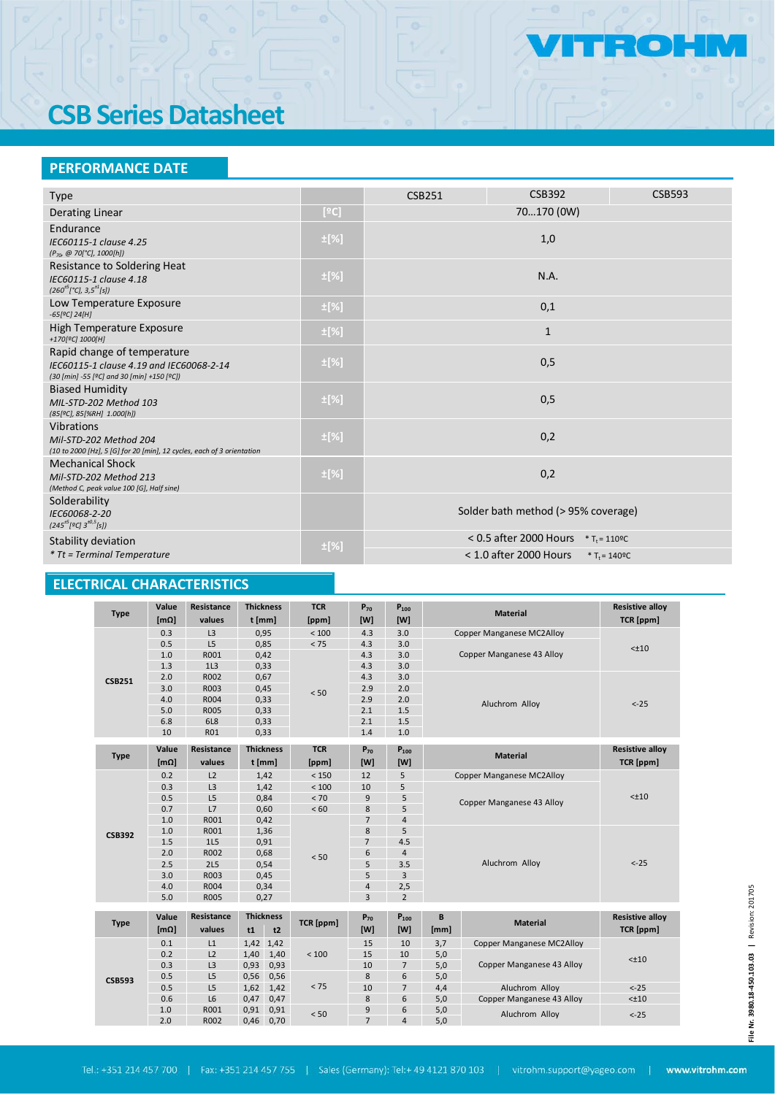# **CSB Series Datasheet**

### **PERFORMANCE DATE**

| <b>Type</b>                                                                                                           |           | <b>CSB251</b>                                | <b>CSB392</b>            | <b>CSB593</b>                |  |  |
|-----------------------------------------------------------------------------------------------------------------------|-----------|----------------------------------------------|--------------------------|------------------------------|--|--|
|                                                                                                                       |           |                                              | 70170 (0W)               |                              |  |  |
| Derating Linear                                                                                                       | [°C]      |                                              |                          |                              |  |  |
| Endurance<br>IEC60115-1 clause 4.25<br>$(P_{70}, @ 70[°C], 1000[h])$                                                  | $\pm$ [%] | 1,0                                          |                          |                              |  |  |
| Resistance to Soldering Heat<br>IEC60115-1 clause 4.18<br>$(260^{+5}[^{\circ}C], 3,5^{+1}[s])$                        | $\pm$ [%] | N.A.                                         |                          |                              |  |  |
| Low Temperature Exposure<br>$-65[°C]$ 24[H]                                                                           | $\pm$ [%] | 0,1                                          |                          |                              |  |  |
| High Temperature Exposure<br>+170[ <sup>9</sup> C] 1000[H]                                                            | $\pm$ [%] | $\mathbf{1}$                                 |                          |                              |  |  |
| Rapid change of temperature<br>IEC60115-1 clause 4.19 and IEC60068-2-14<br>(30 [min] -55 [ºC] and 30 [min] +150 [ºC]) | $\pm$ [%] | 0,5                                          |                          |                              |  |  |
| <b>Biased Humidity</b><br>MIL-STD-202 Method 103<br>(85[ºC], 85[%RH] 1.000[h])                                        | $\pm$ [%] | 0,5                                          |                          |                              |  |  |
| <b>Vibrations</b><br>Mil-STD-202 Method 204<br>(10 to 2000 [Hz], 5 [G] for 20 [min], 12 cycles, each of 3 orientation | $\pm$ [%] | 0,2                                          |                          |                              |  |  |
| <b>Mechanical Shock</b><br>Mil-STD-202 Method 213<br>(Method C, peak value 100 [G], Half sine)                        | $\pm$ [%] | 0,2                                          |                          |                              |  |  |
| Solderability<br>IEC60068-2-20<br>$(245^{+5}[9C]3^{+0.5}[5])$                                                         |           | Solder bath method (> 95% coverage)          |                          |                              |  |  |
| Stability deviation                                                                                                   |           | < 0.5 after 2000 Hours $*T_t = 110^{\circ}C$ |                          |                              |  |  |
| $*$ Tt = Terminal Temperature                                                                                         | $\pm$ [%] |                                              | $<$ 1.0 after 2000 Hours | * $T_t = 140$ <sup>o</sup> C |  |  |

## **ELECTRICAL CHARACTERISTICS**

|               | Value             | Resistance     | <b>Thickness</b>     |                  | <b>TCR</b>                | $P_{70}$       | $P_{100}$      |                                  |                                  | <b>Resistive alloy</b> |  |
|---------------|-------------------|----------------|----------------------|------------------|---------------------------|----------------|----------------|----------------------------------|----------------------------------|------------------------|--|
| <b>Type</b>   | [m <sub>Ω</sub> ] | values         | t [mm]               |                  | [ppm]                     | [W]            | [W]            |                                  | <b>Material</b>                  | TCR [ppm]              |  |
|               | 0.3               | L <sub>3</sub> | 0,95                 |                  | $<100$                    | 4.3            | 3.0            |                                  | <b>Copper Manganese MC2Alloy</b> |                        |  |
|               | 0.5               | L5             | 0,85                 |                  | < 75                      | 4.3            | 3.0            |                                  |                                  | $< \pm 10$             |  |
|               | 1.0               | R001           | 0,42                 |                  |                           | 4.3            | 3.0            |                                  | Copper Manganese 43 Alloy        |                        |  |
|               | 1.3               | 1L3            | 0,33                 |                  |                           | 4.3            | 3.0            |                                  |                                  |                        |  |
| <b>CSB251</b> | 2.0               | R002           | 0,67                 |                  | 2.9<br>< 50<br>2.9<br>2.1 | 4.3            | 3.0            |                                  |                                  |                        |  |
|               | 3.0               | R003           | 0,45                 |                  |                           |                | 2.0            |                                  |                                  |                        |  |
|               | 4.0               | R004           | 0,33                 |                  |                           |                | 2.0            |                                  | Aluchrom Alloy                   | $< -25$                |  |
|               | 5.0               | <b>R005</b>    | 0,33                 |                  |                           |                | 1.5            |                                  |                                  |                        |  |
|               | 6.8               | 6L8            | 0,33                 |                  |                           | 2.1            | 1.5            |                                  |                                  |                        |  |
|               | 10                | <b>R01</b>     | 0,33                 |                  |                           | 1.4            | 1.0            |                                  |                                  |                        |  |
|               | Value             | Resistance     |                      | <b>Thickness</b> | <b>TCR</b>                | $P_{70}$       | $P_{100}$      |                                  |                                  | <b>Resistive alloy</b> |  |
| <b>Type</b>   | [m <sub>Ω</sub> ] | values         | t [mm]               |                  | [ppm]                     | [W]            | [W]            |                                  | <b>Material</b>                  | TCR [ppm]              |  |
|               | 0.2               | L2             |                      | 1,42             | < 150                     | 12             | 5              | <b>Copper Manganese MC2Alloy</b> |                                  |                        |  |
|               | 0.3               | L <sub>3</sub> |                      | 1.42             | < 100                     | 10             | 5              |                                  |                                  | $< \pm 10$             |  |
|               | 0.5               | L5             |                      | 0,84             | < 70                      | 9              | 5              |                                  |                                  |                        |  |
|               | 0.7               | L7             |                      | 0,60             | < 60                      | 8              | 5              |                                  | Copper Manganese 43 Alloy        |                        |  |
|               | 1.0               | R001           | 0,42                 |                  |                           | $\overline{7}$ | $\overline{4}$ |                                  |                                  |                        |  |
| <b>CSB392</b> | 1.0               | R001           |                      | 1,36             |                           | 8              | 5              |                                  |                                  |                        |  |
|               | 1.5               | 1L5            | 0,91<br>0,68<br>0,54 |                  | < 50                      | $\overline{7}$ | 4.5            | Aluchrom Alloy                   |                                  | $< -25$                |  |
|               | 2.0               | R002           |                      |                  |                           | 6              | $\overline{4}$ |                                  |                                  |                        |  |
|               | 2.5               | <b>2L5</b>     |                      |                  |                           | 5              | 3.5            |                                  |                                  |                        |  |
|               | 3.0               | R003           | 0,45                 |                  |                           | 5              | 3              |                                  |                                  |                        |  |
|               | 4.0               | R004           | 0,34                 |                  |                           | $\overline{4}$ | 2,5            |                                  |                                  |                        |  |
|               | 5.0               | R005           | 0,27                 |                  |                           | $\overline{3}$ | $\overline{2}$ |                                  |                                  |                        |  |
|               | Value             | Resistance     |                      | <b>Thickness</b> |                           |                |                |                                  |                                  |                        |  |
| <b>Type</b>   |                   |                |                      |                  | TCR [ppm]                 | $P_{70}$       | $P_{100}$      | B                                | <b>Material</b>                  | <b>Resistive alloy</b> |  |
|               | [m <sub>Ω</sub> ] | values         | t1                   | t2               |                           | [W]            | [W]            | [mm]                             |                                  | TCR [ppm]              |  |
|               | 0.1               | L1             | 1,42 1,42            |                  |                           | 15             | 10             | 3,7                              | <b>Copper Manganese MC2Alloy</b> |                        |  |
|               | 0.2               | L <sub>2</sub> | 1,40                 | 1,40             | < 100                     | 15             | 10             | 5,0                              |                                  | $< \pm 10$             |  |
|               | 0.3               | L <sub>3</sub> | 0,93                 | 0,93             |                           | 10             | $\overline{7}$ | 5,0                              | Copper Manganese 43 Alloy        |                        |  |
| <b>CSB593</b> | 0.5               | L <sub>5</sub> | 0,56                 | 0,56             |                           | 8              | 6              | 5,0                              |                                  |                        |  |
|               | 0.5               | L5             | 1,62                 | 1,42             | < 75                      | 10             | $\overline{7}$ | 4,4                              | Aluchrom Alloy                   | $< -25$                |  |
|               | 0.6               | L6             | 0,47                 | 0,47             |                           | 6<br>8<br>5,0  |                | Copper Manganese 43 Alloy        | $< \pm 10$                       |                        |  |
|               | 1.0               | R001           | 0,91                 | 0,91             | < 50                      | 9              | 6              | 5,0<br>Aluchrom Alloy            |                                  | $< -25$                |  |
|               | 2.0               | R002           | 0,46                 | 0,70             |                           | $\overline{7}$ | $\overline{a}$ | 5,0                              |                                  |                        |  |